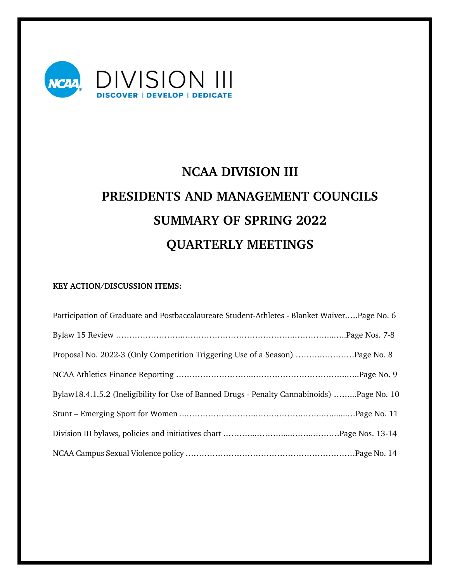

# **NCAA DIVISION III PRESIDENTS AND MANAGEMENT COUNCILS SUMMARY OF SPRING 2022 QUARTERLY MEETINGS**

# **KEY ACTION/DISCUSSION ITEMS:**

| Participation of Graduate and Postbaccalaureate Student-Athletes - Blanket WaiverPage No. 6 |  |
|---------------------------------------------------------------------------------------------|--|
|                                                                                             |  |
| Proposal No. 2022-3 (Only Competition Triggering Use of a Season) Page No. 8                |  |
|                                                                                             |  |
| Bylaw18.4.1.5.2 (Ineligibility for Use of Banned Drugs - Penalty Cannabinoids) Page No. 10  |  |
|                                                                                             |  |
|                                                                                             |  |
|                                                                                             |  |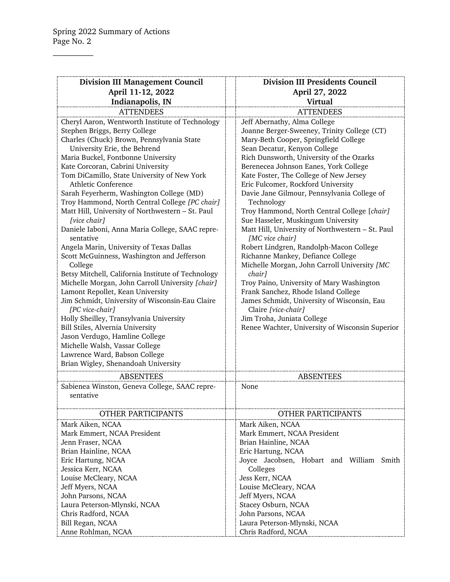$\overline{\phantom{a}}$ 

| <b>Division III Management Council</b>                                              | <b>Division III Presidents Council</b>                                             |  |  |
|-------------------------------------------------------------------------------------|------------------------------------------------------------------------------------|--|--|
| April 11-12, 2022                                                                   | April 27, 2022                                                                     |  |  |
| Indianapolis, IN                                                                    | <b>Virtual</b>                                                                     |  |  |
| <b>ATTENDEES</b>                                                                    | <b>ATTENDEES</b>                                                                   |  |  |
| Cheryl Aaron, Wentworth Institute of Technology                                     | Jeff Abernathy, Alma College                                                       |  |  |
| Stephen Briggs, Berry College                                                       | Joanne Berger-Sweeney, Trinity College (CT)                                        |  |  |
| Charles (Chuck) Brown, Pennsylvania State                                           | Mary-Beth Cooper, Springfield College                                              |  |  |
| University Erie, the Behrend                                                        | Sean Decatur, Kenyon College                                                       |  |  |
| Maria Buckel, Fontbonne University                                                  | Rich Dunsworth, University of the Ozarks                                           |  |  |
| Kate Corcoran, Cabrini University                                                   | Berenecea Johnson Eanes, York College                                              |  |  |
| Tom DiCamillo, State University of New York                                         | Kate Foster, The College of New Jersey                                             |  |  |
| Athletic Conference                                                                 | Eric Fulcomer, Rockford University                                                 |  |  |
| Sarah Feyerherm, Washington College (MD)                                            | Davie Jane Gilmour, Pennsylvania College of                                        |  |  |
| Troy Hammond, North Central College [PC chair]                                      | Technology                                                                         |  |  |
| Matt Hill, University of Northwestern - St. Paul                                    | Troy Hammond, North Central College [chair]                                        |  |  |
| [vice chair]                                                                        | Sue Hasseler, Muskingum University                                                 |  |  |
| Daniele Iaboni, Anna Maria College, SAAC repre-                                     | Matt Hill, University of Northwestern - St. Paul                                   |  |  |
| sentative                                                                           | [MC vice chair]                                                                    |  |  |
| Angela Marin, University of Texas Dallas                                            | Robert Lindgren, Randolph-Macon College                                            |  |  |
| Scott McGuinness, Washington and Jefferson                                          | Richanne Mankey, Defiance College                                                  |  |  |
| College                                                                             | Michelle Morgan, John Carroll University [MC                                       |  |  |
| Betsy Mitchell, California Institute of Technology                                  | chair]                                                                             |  |  |
| Michelle Morgan, John Carroll University [chair]                                    | Troy Paino, University of Mary Washington                                          |  |  |
| Lamont Repollet, Kean University<br>Jim Schmidt, University of Wisconsin-Eau Claire | Frank Sanchez, Rhode Island College<br>James Schmidt, University of Wisconsin, Eau |  |  |
| [PC vice-chair]                                                                     | Claire [vice-chair]                                                                |  |  |
| Holly Sheilley, Transylvania University                                             | Jim Troha, Juniata College                                                         |  |  |
| Bill Stiles, Alvernia University                                                    | Renee Wachter, University of Wisconsin Superior                                    |  |  |
| Jason Verdugo, Hamline College                                                      |                                                                                    |  |  |
| Michelle Walsh, Vassar College                                                      |                                                                                    |  |  |
| Lawrence Ward, Babson College                                                       |                                                                                    |  |  |
| Brian Wigley, Shenandoah University                                                 |                                                                                    |  |  |
| <b>ABSENTEES</b>                                                                    | <b>ABSENTEES</b>                                                                   |  |  |
| Sabienea Winston, Geneva College, SAAC repre-                                       | None                                                                               |  |  |
| sentative                                                                           |                                                                                    |  |  |
|                                                                                     |                                                                                    |  |  |
| OTHER PARTICIPANTS                                                                  | OTHER PARTICIPANTS                                                                 |  |  |
| Mark Aiken, NCAA                                                                    | Mark Aiken, NCAA                                                                   |  |  |
| Mark Emmert, NCAA President                                                         | Mark Emmert, NCAA President                                                        |  |  |
| Jenn Fraser, NCAA                                                                   | Brian Hainline, NCAA                                                               |  |  |
| Brian Hainline, NCAA                                                                | Eric Hartung, NCAA                                                                 |  |  |
| Eric Hartung, NCAA                                                                  | Joyce Jacobsen, Hobart and William Smith                                           |  |  |
| Jessica Kerr, NCAA                                                                  | Colleges                                                                           |  |  |
| Louise McCleary, NCAA                                                               | Jess Kerr, NCAA                                                                    |  |  |
| Jeff Myers, NCAA                                                                    | Louise McCleary, NCAA                                                              |  |  |
| John Parsons, NCAA                                                                  | Jeff Myers, NCAA                                                                   |  |  |
| Laura Peterson-Mlynski, NCAA                                                        | Stacey Osburn, NCAA                                                                |  |  |
| Chris Radford, NCAA                                                                 | John Parsons, NCAA                                                                 |  |  |
| Bill Regan, NCAA                                                                    | Laura Peterson-Mlynski, NCAA                                                       |  |  |
| Anne Rohlman, NCAA                                                                  | Chris Radford, NCAA                                                                |  |  |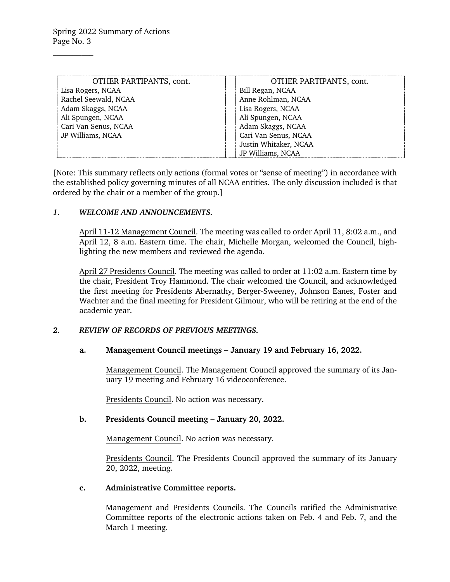| OTHER PARTIPANTS, cont. | OTHER PARTIPANTS, cont. |
|-------------------------|-------------------------|
| Lisa Rogers, NCAA       | Bill Regan, NCAA        |
| Rachel Seewald, NCAA    | Anne Rohlman, NCAA      |
| Adam Skaggs, NCAA       | Lisa Rogers, NCAA       |
| Ali Spungen, NCAA       | Ali Spungen, NCAA       |
| Cari Van Senus, NCAA    | Adam Skaggs, NCAA       |
| JP Williams, NCAA       | Cari Van Senus, NCAA    |
|                         | Justin Whitaker, NCAA   |
|                         | JP Williams, NCAA       |

[Note: This summary reflects only actions (formal votes or "sense of meeting") in accordance with the established policy governing minutes of all NCAA entities. The only discussion included is that ordered by the chair or a member of the group.]

### *1. WELCOME AND ANNOUNCEMENTS.*

April 11-12 Management Council. The meeting was called to order April 11, 8:02 a.m., and April 12, 8 a.m. Eastern time. The chair, Michelle Morgan, welcomed the Council, highlighting the new members and reviewed the agenda.

April 27 Presidents Council. The meeting was called to order at 11:02 a.m. Eastern time by the chair, President Troy Hammond. The chair welcomed the Council, and acknowledged the first meeting for Presidents Abernathy, Berger-Sweeney, Johnson Eanes, Foster and Wachter and the final meeting for President Gilmour, who will be retiring at the end of the academic year.

#### *2. REVIEW OF RECORDS OF PREVIOUS MEETINGS.*

# **a. Management Council meetings – January 19 and February 16, 2022.**

Management Council. The Management Council approved the summary of its January 19 meeting and February 16 videoconference.

Presidents Council. No action was necessary.

# **b. Presidents Council meeting – January 20, 2022.**

Management Council. No action was necessary.

Presidents Council. The Presidents Council approved the summary of its January 20, 2022, meeting.

#### **c. Administrative Committee reports.**

Management and Presidents Councils. The Councils ratified the Administrative Committee reports of the electronic actions taken on Feb. 4 and Feb. 7, and the March 1 meeting.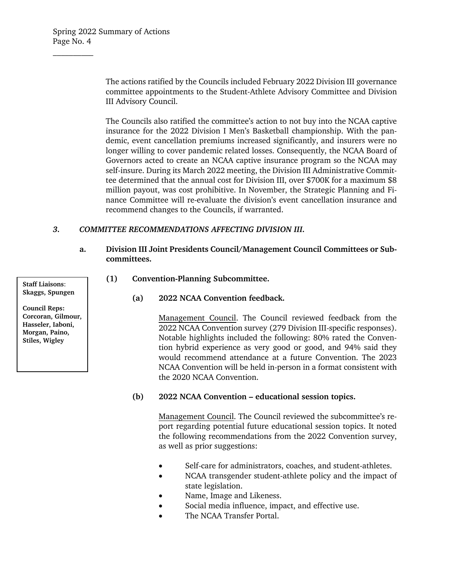The actions ratified by the Councils included February 2022 Division III governance committee appointments to the Student-Athlete Advisory Committee and Division III Advisory Council.

The Councils also ratified the committee's action to not buy into the NCAA captive insurance for the 2022 Division I Men's Basketball championship. With the pandemic, event cancellation premiums increased significantly, and insurers were no longer willing to cover pandemic related losses. Consequently, the NCAA Board of Governors acted to create an NCAA captive insurance program so the NCAA may self-insure. During its March 2022 meeting, the Division III Administrative Committee determined that the annual cost for Division III, over \$700K for a maximum \$8 million payout, was cost prohibitive. In November, the Strategic Planning and Finance Committee will re-evaluate the division's event cancellation insurance and recommend changes to the Councils, if warranted.

### *3. COMMITTEE RECOMMENDATIONS AFFECTING DIVISION III.*

- **a. Division III Joint Presidents Council/Management Council Committees or Subcommittees.**
	- **(1) Convention-Planning Subcommittee.** 
		- **(a) 2022 NCAA Convention feedback.**

Management Council. The Council reviewed feedback from the 2022 NCAA Convention survey (279 Division III-specific responses). Notable highlights included the following: 80% rated the Convention hybrid experience as very good or good, and 94% said they would recommend attendance at a future Convention. The 2023 NCAA Convention will be held in-person in a format consistent with the 2020 NCAA Convention.

# **(b) 2022 NCAA Convention – educational session topics.**

Management Council. The Council reviewed the subcommittee's report regarding potential future educational session topics. It noted the following recommendations from the 2022 Convention survey, as well as prior suggestions:

- Self-care for administrators, coaches, and student-athletes.
- NCAA transgender student-athlete policy and the impact of state legislation.
- Name, Image and Likeness.
- Social media influence, impact, and effective use.
- The NCAA Transfer Portal.

**Staff Liaisons**: **Skaggs, Spungen**

**Council Reps: Corcoran, Gilmour, Hasseler, Iaboni, Morgan, Paino, Stiles, Wigley**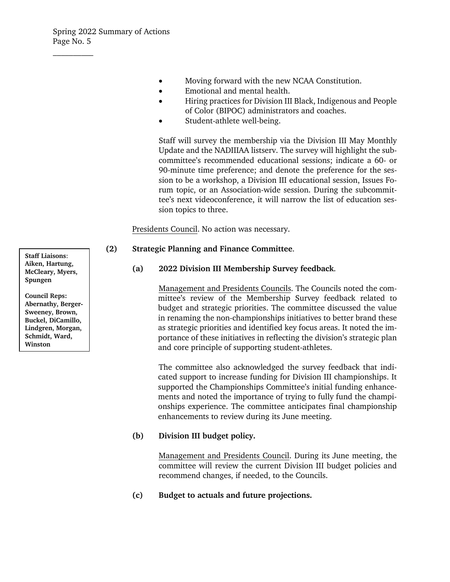- Moving forward with the new NCAA Constitution.
- Emotional and mental health.
- Hiring practices for Division III Black, Indigenous and People of Color (BIPOC) administrators and coaches.
- Student-athlete well-being.

Staff will survey the membership via the Division III May Monthly Update and the NADIIIAA listserv. The survey will highlight the subcommittee's recommended educational sessions; indicate a 60- or 90-minute time preference; and denote the preference for the session to be a workshop, a Division III educational session, Issues Forum topic, or an Association-wide session. During the subcommittee's next videoconference, it will narrow the list of education session topics to three.

Presidents Council. No action was necessary.

# **(2) Strategic Planning and Finance Committee**.

### **(a) 2022 Division III Membership Survey feedback**.

Management and Presidents Councils. The Councils noted the committee's review of the Membership Survey feedback related to budget and strategic priorities. The committee discussed the value in renaming the non-championships initiatives to better brand these as strategic priorities and identified key focus areas. It noted the importance of these initiatives in reflecting the division's strategic plan and core principle of supporting student-athletes.

The committee also acknowledged the survey feedback that indicated support to increase funding for Division III championships. It supported the Championships Committee's initial funding enhancements and noted the importance of trying to fully fund the championships experience. The committee anticipates final championship enhancements to review during its June meeting.

# **(b) Division III budget policy.**

Management and Presidents Council. During its June meeting, the committee will review the current Division III budget policies and recommend changes, if needed, to the Councils.

**(c) Budget to actuals and future projections.** 

**Staff Liaisons**: **Aiken, Hartung, McCleary, Myers, Spungen**

**Council Reps: Abernathy, Berger-Sweeney, Brown, Buckel, DiCamillo, Lindgren, Morgan, Schmidt, Ward, Winston**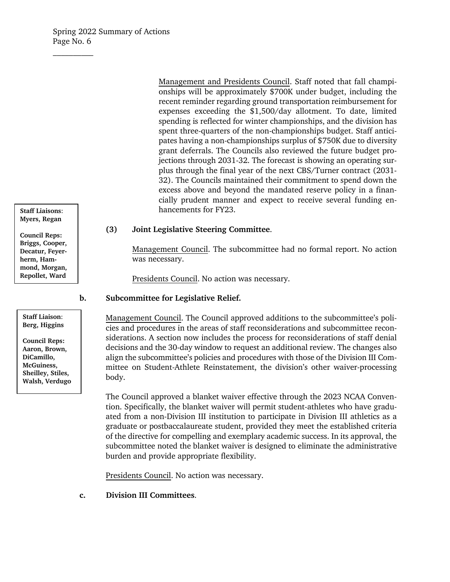Management and Presidents Council. Staff noted that fall championships will be approximately \$700K under budget, including the recent reminder regarding ground transportation reimbursement for expenses exceeding the \$1,500/day allotment. To date, limited spending is reflected for winter championships, and the division has spent three-quarters of the non-championships budget. Staff anticipates having a non-championships surplus of \$750K due to diversity grant deferrals. The Councils also reviewed the future budget projections through 2031-32. The forecast is showing an operating surplus through the final year of the next CBS/Turner contract (2031- 32). The Councils maintained their commitment to spend down the excess above and beyond the mandated reserve policy in a financially prudent manner and expect to receive several funding enhancements for FY23.

# **(3) Joint Legislative Steering Committee**.

Management Council. The subcommittee had no formal report. No action was necessary.

Presidents Council. No action was necessary.

# **b. Subcommittee for Legislative Relief.**

Management Council. The Council approved additions to the subcommittee's policies and procedures in the areas of staff reconsiderations and subcommittee reconsiderations. A section now includes the process for reconsiderations of staff denial decisions and the 30-day window to request an additional review. The changes also align the subcommittee's policies and procedures with those of the Division III Committee on Student-Athlete Reinstatement, the division's other waiver-processing body.

The Council approved a blanket waiver effective through the 2023 NCAA Convention. Specifically, the blanket waiver will permit student-athletes who have graduated from a non-Division III institution to participate in Division III athletics as a graduate or postbaccalaureate student, provided they meet the established criteria of the directive for compelling and exemplary academic success. In its approval, the subcommittee noted the blanket waiver is designed to eliminate the administrative burden and provide appropriate flexibility.

Presidents Council. No action was necessary.

**c. Division III Committees**.

**Staff Liaisons**: **Myers, Regan**

**Council Reps: Briggs, Cooper, Decatur, Feyerherm, Hammond, Morgan, Repollet, Ward**

**Staff Liaison**: **Berg, Higgins**

**Council Reps: Aaron, Brown, DiCamillo, McGuiness, Sheilley, Stiles, Walsh, Verdugo**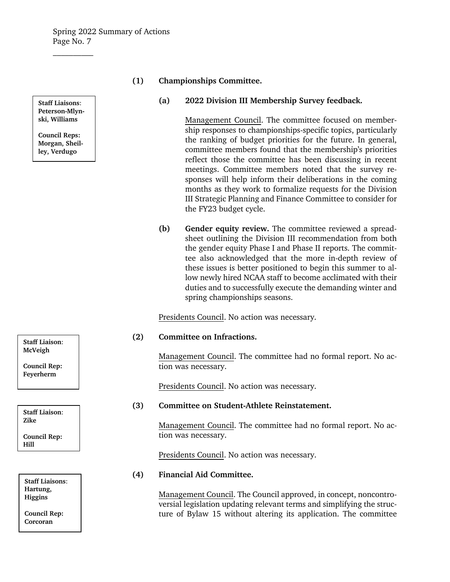**Staff Liaisons**: **Peterson-Mlynski, Williams**

 $\mathcal{L}_\text{max}$ 

**Council Reps: Morgan, Sheilley, Verdugo**

# **(1) Championships Committee.**

### **(a) 2022 Division III Membership Survey feedback.**

Management Council. The committee focused on membership responses to championships-specific topics, particularly the ranking of budget priorities for the future. In general, committee members found that the membership's priorities reflect those the committee has been discussing in recent meetings. Committee members noted that the survey responses will help inform their deliberations in the coming months as they work to formalize requests for the Division III Strategic Planning and Finance Committee to consider for the FY23 budget cycle.

**(b) Gender equity review.** The committee reviewed a spreadsheet outlining the Division III recommendation from both the gender equity Phase I and Phase II reports. The committee also acknowledged that the more in-depth review of these issues is better positioned to begin this summer to allow newly hired NCAA staff to become acclimated with their duties and to successfully execute the demanding winter and spring championships seasons.

Presidents Council. No action was necessary.

# **(2) Committee on Infractions.**

Management Council. The committee had no formal report. No action was necessary.

Presidents Council. No action was necessary.

# **(3) Committee on Student-Athlete Reinstatement.**

Management Council. The committee had no formal report. No action was necessary.

Presidents Council. No action was necessary.

# **(4) Financial Aid Committee.**

Management Council. The Council approved, in concept, noncontroversial legislation updating relevant terms and simplifying the structure of Bylaw 15 without altering its application. The committee

**Staff Liaison**: **McVeigh**

**Council Rep: Feyerherm**

**Staff Liaison**: **Zike Council Rep: Hill**

**Staff Liaisons**: **Hartung, Higgins**

**Council Rep: Corcoran**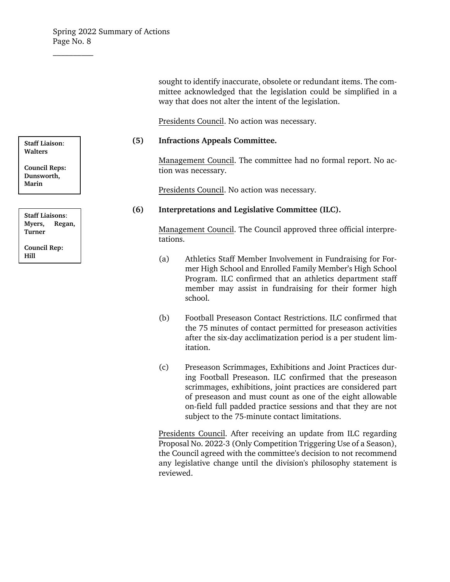sought to identify inaccurate, obsolete or redundant items. The committee acknowledged that the legislation could be simplified in a way that does not alter the intent of the legislation.

Presidents Council. No action was necessary.

#### **(5) Infractions Appeals Committee.**

Management Council. The committee had no formal report. No action was necessary.

Presidents Council. No action was necessary.

### **(6) Interpretations and Legislative Committee (ILC).**

Management Council. The Council approved three official interpretations.

- (a) Athletics Staff Member Involvement in Fundraising for Former High School and Enrolled Family Member's High School Program. ILC confirmed that an athletics department staff member may assist in fundraising for their former high school.
- (b) Football Preseason Contact Restrictions. ILC confirmed that the 75 minutes of contact permitted for preseason activities after the six-day acclimatization period is a per student limitation.
- (c) Preseason Scrimmages, Exhibitions and Joint Practices during Football Preseason. ILC confirmed that the preseason scrimmages, exhibitions, joint practices are considered part of preseason and must count as one of the eight allowable on-field full padded practice sessions and that they are not subject to the 75-minute contact limitations.

Presidents Council. After receiving an update from ILC regarding Proposal No. 2022-3 (Only Competition Triggering Use of a Season), the Council agreed with the committee's decision to not recommend any legislative change until the division's philosophy statement is reviewed.

**Staff Liaison**: **Walters**

**Council Reps: Dunsworth, Marin**

**Staff Liaisons**: **Myers, Regan, Turner Council Rep: Hill**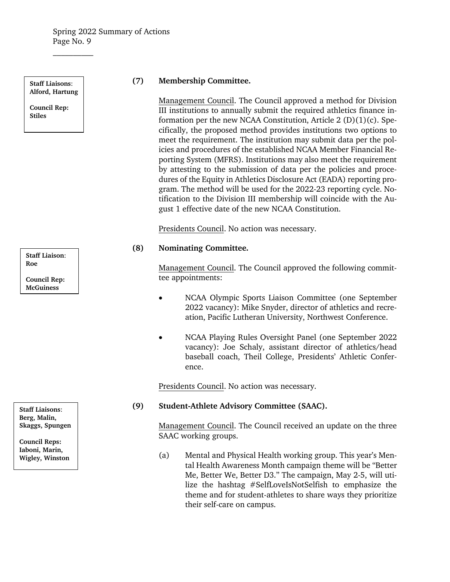**Staff Liaisons**: **Alford, Hartung**

 $\mathcal{L}_\text{max}$ 

**Council Rep: Stiles**

**Staff Liaison**: **Roe**

**Council Rep: McGuiness**

**Staff Liaisons**: **Berg, Malin, Skaggs, Spungen**

**Council Reps: Iaboni, Marin, Wigley, Winston**

# **(7) Membership Committee.**

Management Council. The Council approved a method for Division III institutions to annually submit the required athletics finance information per the new NCAA Constitution, Article  $2(D)(1)(c)$ . Specifically, the proposed method provides institutions two options to meet the requirement. The institution may submit data per the policies and procedures of the established NCAA Member Financial Reporting System (MFRS). Institutions may also meet the requirement by attesting to the submission of data per the policies and procedures of the Equity in Athletics Disclosure Act (EADA) reporting program. The method will be used for the 2022-23 reporting cycle. Notification to the Division III membership will coincide with the August 1 effective date of the new NCAA Constitution.

Presidents Council. No action was necessary.

# **(8) Nominating Committee.**

Management Council. The Council approved the following committee appointments:

- NCAA Olympic Sports Liaison Committee (one September 2022 vacancy): Mike Snyder, director of athletics and recreation, Pacific Lutheran University, Northwest Conference.
- NCAA Playing Rules Oversight Panel (one September 2022 vacancy): Joe Schaly, assistant director of athletics/head baseball coach, Theil College, Presidents' Athletic Conference.

Presidents Council. No action was necessary.

# **(9) Student-Athlete Advisory Committee (SAAC).**

Management Council. The Council received an update on the three SAAC working groups.

(a) Mental and Physical Health working group. This year's Mental Health Awareness Month campaign theme will be "Better Me, Better We, Better D3." The campaign, May 2-5, will utilize the hashtag #SelfLoveIsNotSelfish to emphasize the theme and for student-athletes to share ways they prioritize their self-care on campus.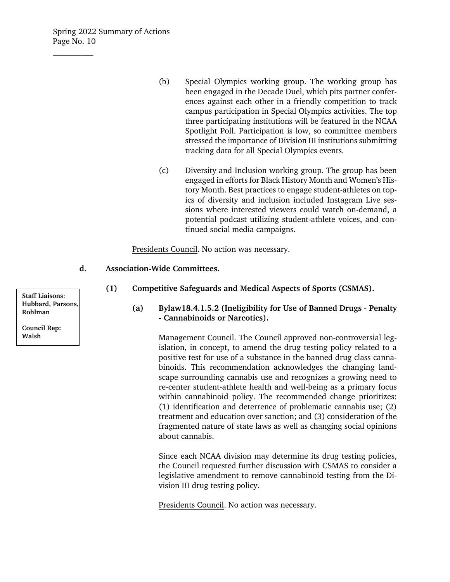- (b) Special Olympics working group. The working group has been engaged in the Decade Duel, which pits partner conferences against each other in a friendly competition to track campus participation in Special Olympics activities. The top three participating institutions will be featured in the NCAA Spotlight Poll. Participation is low, so committee members stressed the importance of Division III institutions submitting tracking data for all Special Olympics events.
- (c) Diversity and Inclusion working group. The group has been engaged in efforts for Black History Month and Women's History Month. Best practices to engage student-athletes on topics of diversity and inclusion included Instagram Live sessions where interested viewers could watch on-demand, a potential podcast utilizing student-athlete voices, and continued social media campaigns.

Presidents Council. No action was necessary.

#### **d. Association-Wide Committees.**

- **(1) Competitive Safeguards and Medical Aspects of Sports (CSMAS).** 
	- **(a) Bylaw18.4.1.5.2 (Ineligibility for Use of Banned Drugs Penalty - Cannabinoids or Narcotics).**

Management Council. The Council approved non-controversial legislation, in concept, to amend the drug testing policy related to a positive test for use of a substance in the banned drug class cannabinoids. This recommendation acknowledges the changing landscape surrounding cannabis use and recognizes a growing need to re-center student-athlete health and well-being as a primary focus within cannabinoid policy. The recommended change prioritizes: (1) identification and deterrence of problematic cannabis use; (2) treatment and education over sanction; and (3) consideration of the fragmented nature of state laws as well as changing social opinions about cannabis.

Since each NCAA division may determine its drug testing policies, the Council requested further discussion with CSMAS to consider a legislative amendment to remove cannabinoid testing from the Division III drug testing policy.

Presidents Council. No action was necessary.

**Staff Liaisons**: **Hubbard, Parsons, Rohlman**

**Council Rep: Walsh**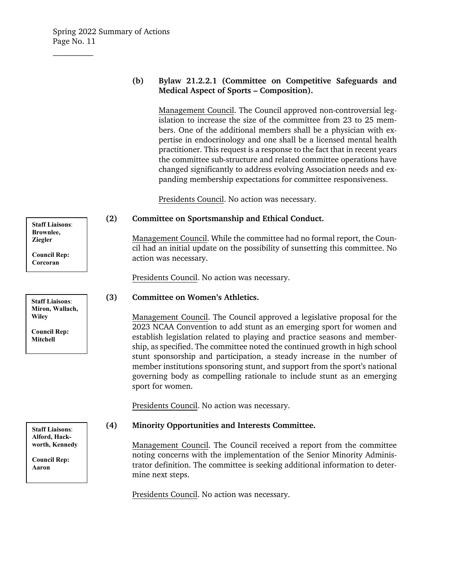# **(b) Bylaw 21.2.2.1 (Committee on Competitive Safeguards and Medical Aspect of Sports – Composition).**

Management Council. The Council approved non-controversial legislation to increase the size of the committee from 23 to 25 members. One of the additional members shall be a physician with expertise in endocrinology and one shall be a licensed mental health practitioner. This request is a response to the fact that in recent years the committee sub-structure and related committee operations have changed significantly to address evolving Association needs and expanding membership expectations for committee responsiveness.

Presidents Council. No action was necessary.

# **(2) Committee on Sportsmanship and Ethical Conduct.**

Management Council. While the committee had no formal report, the Council had an initial update on the possibility of sunsetting this committee. No action was necessary.

Presidents Council. No action was necessary.

# **(3) Committee on Women's Athletics.**

Management Council. The Council approved a legislative proposal for the 2023 NCAA Convention to add stunt as an emerging sport for women and establish legislation related to playing and practice seasons and membership, as specified. The committee noted the continued growth in high school stunt sponsorship and participation, a steady increase in the number of member institutions sponsoring stunt, and support from the sport's national governing body as compelling rationale to include stunt as an emerging sport for women.

Presidents Council. No action was necessary.

# **(4) Minority Opportunities and Interests Committee.**

Management Council. The Council received a report from the committee noting concerns with the implementation of the Senior Minority Administrator definition. The committee is seeking additional information to determine next steps.

Presidents Council. No action was necessary.

**Staff Liaisons**: **Brownlee, Ziegler**

**Council Rep: Corcoran**

**Staff Liaisons**: **Miron, Wallach, Wiley** 

**Council Rep: Mitchell**

**Staff Liaisons**: **Alford, Hackworth, Kennedy**

**Council Rep: Aaron**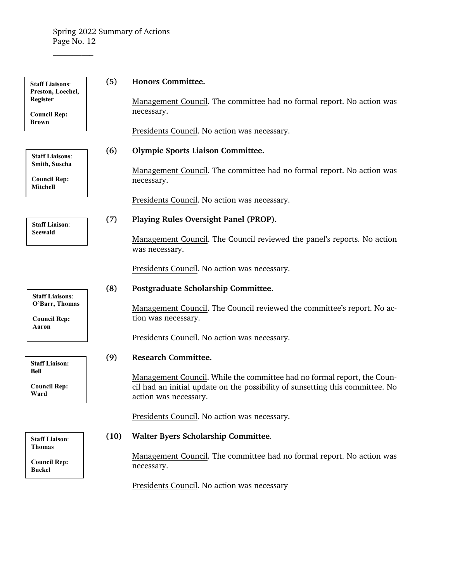$\overline{\phantom{a}}$  , where  $\overline{\phantom{a}}$ 

| <b>Staff Liaisons:</b><br>Preston, Loechel,                     | (5)  | <b>Honors Committee.</b>                                                                               |
|-----------------------------------------------------------------|------|--------------------------------------------------------------------------------------------------------|
| <b>Register</b><br><b>Council Rep:</b><br><b>Brown</b>          |      | Management Council. The committee had no formal report. No action was<br>necessary.                    |
|                                                                 |      | Presidents Council. No action was necessary.                                                           |
| <b>Staff Liaisons:</b>                                          | (6)  | <b>Olympic Sports Liaison Committee.</b>                                                               |
| Smith, Suscha<br><b>Council Rep:</b>                            |      | Management Council. The committee had no formal report. No action was<br>necessary.                    |
| Mitchell                                                        |      | Presidents Council. No action was necessary.                                                           |
| <b>Staff Liaison:</b><br>Seewald                                | (7)  | Playing Rules Oversight Panel (PROP).                                                                  |
|                                                                 |      | Management Council. The Council reviewed the panel's reports. No action<br>was necessary.              |
|                                                                 |      | Presidents Council. No action was necessary.                                                           |
|                                                                 | (8)  | Postgraduate Scholarship Committee.                                                                    |
| <b>Staff Liaisons:</b><br>O'Barr, Thomas<br><b>Council Rep:</b> |      | Management Council. The Council reviewed the committee's report. No ac-<br>tion was necessary.         |
| Aaron                                                           |      | Presidents Council. No action was necessary.                                                           |
| <b>Staff Liaison:</b>                                           | (9)  | <b>Research Committee.</b>                                                                             |
| <b>Bell</b>                                                     |      | Management Council. While the committee had no formal report, the Coun-                                |
| <b>Council Rep:</b><br>Ward                                     |      | cil had an initial update on the possibility of sunsetting this committee. No<br>action was necessary. |
|                                                                 |      | Presidents Council. No action was necessary.                                                           |
| <b>Staff Liaison:</b>                                           | (10) | Walter Byers Scholarship Committee.                                                                    |
| <b>Thomas</b>                                                   |      | Management Council. The committee had no formal report. No action was                                  |

Presidents Council. No action was necessary

**Council Rep: Buckel**

necessary.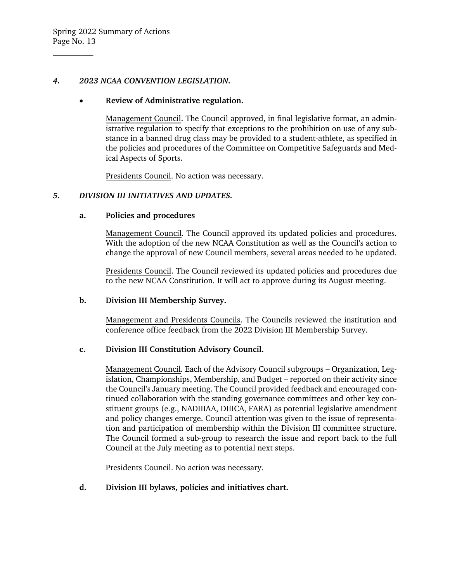### *4. 2023 NCAA CONVENTION LEGISLATION.*

### • **Review of Administrative regulation.**

Management Council. The Council approved, in final legislative format, an administrative regulation to specify that exceptions to the prohibition on use of any substance in a banned drug class may be provided to a student-athlete, as specified in the policies and procedures of the Committee on Competitive Safeguards and Medical Aspects of Sports.

Presidents Council. No action was necessary.

# *5. DIVISION III INITIATIVES AND UPDATES.*

### **a. Policies and procedures**

Management Council. The Council approved its updated policies and procedures. With the adoption of the new NCAA Constitution as well as the Council's action to change the approval of new Council members, several areas needed to be updated.

Presidents Council. The Council reviewed its updated policies and procedures due to the new NCAA Constitution. It will act to approve during its August meeting.

#### **b. Division III Membership Survey.**

Management and Presidents Councils. The Councils reviewed the institution and conference office feedback from the 2022 Division III Membership Survey.

# **c. Division III Constitution Advisory Council.**

Management Council. Each of the Advisory Council subgroups – Organization, Legislation, Championships, Membership, and Budget – reported on their activity since the Council's January meeting. The Council provided feedback and encouraged continued collaboration with the standing governance committees and other key constituent groups (e.g., NADIIIAA, DIIICA, FARA) as potential legislative amendment and policy changes emerge. Council attention was given to the issue of representation and participation of membership within the Division III committee structure. The Council formed a sub-group to research the issue and report back to the full Council at the July meeting as to potential next steps.

Presidents Council. No action was necessary.

**d. Division III bylaws, policies and initiatives chart.**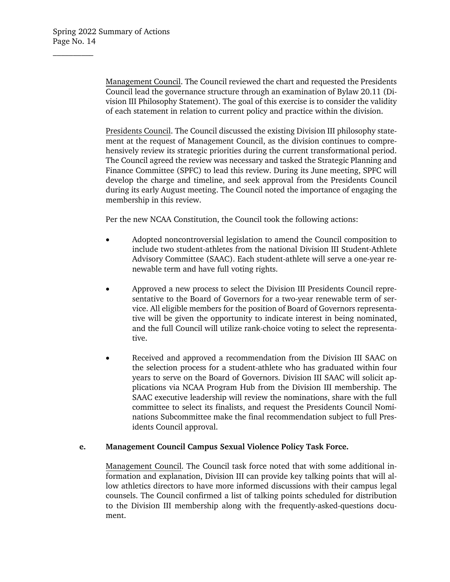Management Council. The Council reviewed the chart and requested the Presidents Council lead the governance structure through an examination of Bylaw 20.11 (Division III Philosophy Statement). The goal of this exercise is to consider the validity of each statement in relation to current policy and practice within the division.

Presidents Council. The Council discussed the existing Division III philosophy statement at the request of Management Council, as the division continues to comprehensively review its strategic priorities during the current transformational period. The Council agreed the review was necessary and tasked the Strategic Planning and Finance Committee (SPFC) to lead this review. During its June meeting, SPFC will develop the charge and timeline, and seek approval from the Presidents Council during its early August meeting. The Council noted the importance of engaging the membership in this review.

Per the new NCAA Constitution, the Council took the following actions:

- Adopted noncontroversial legislation to amend the Council composition to include two student-athletes from the national Division III Student-Athlete Advisory Committee (SAAC). Each student-athlete will serve a one-year renewable term and have full voting rights.
- Approved a new process to select the Division III Presidents Council representative to the Board of Governors for a two-year renewable term of service. All eligible members for the position of Board of Governors representative will be given the opportunity to indicate interest in being nominated, and the full Council will utilize rank-choice voting to select the representative.
- Received and approved a recommendation from the Division III SAAC on the selection process for a student-athlete who has graduated within four years to serve on the Board of Governors. Division III SAAC will solicit applications via NCAA Program Hub from the Division III membership. The SAAC executive leadership will review the nominations, share with the full committee to select its finalists, and request the Presidents Council Nominations Subcommittee make the final recommendation subject to full Presidents Council approval.

# **e. Management Council Campus Sexual Violence Policy Task Force.**

Management Council. The Council task force noted that with some additional information and explanation, Division III can provide key talking points that will allow athletics directors to have more informed discussions with their campus legal counsels. The Council confirmed a list of talking points scheduled for distribution to the Division III membership along with the frequently-asked-questions document.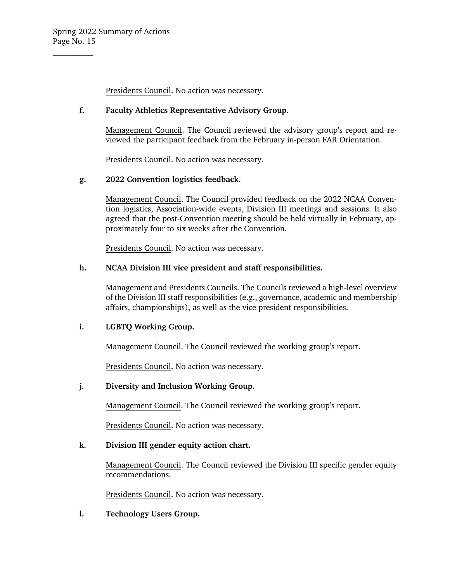Presidents Council. No action was necessary.

## **f. Faculty Athletics Representative Advisory Group.**

Management Council. The Council reviewed the advisory group's report and reviewed the participant feedback from the February in-person FAR Orientation.

Presidents Council. No action was necessary.

# **g. 2022 Convention logistics feedback.**

Management Council. The Council provided feedback on the 2022 NCAA Convention logistics, Association-wide events, Division III meetings and sessions. It also agreed that the post-Convention meeting should be held virtually in February, approximately four to six weeks after the Convention.

Presidents Council. No action was necessary.

### **h. NCAA Division III vice president and staff responsibilities.**

Management and Presidents Councils. The Councils reviewed a high-level overview of the Division III staff responsibilities (e.g., governance, academic and membership affairs, championships), as well as the vice president responsibilities.

# **i. LGBTQ Working Group.**

Management Council. The Council reviewed the working group's report.

Presidents Council. No action was necessary.

# **j. Diversity and Inclusion Working Group.**

Management Council. The Council reviewed the working group's report.

Presidents Council. No action was necessary.

#### **k. Division III gender equity action chart.**

Management Council. The Council reviewed the Division III specific gender equity recommendations.

Presidents Council. No action was necessary.

**l. Technology Users Group.**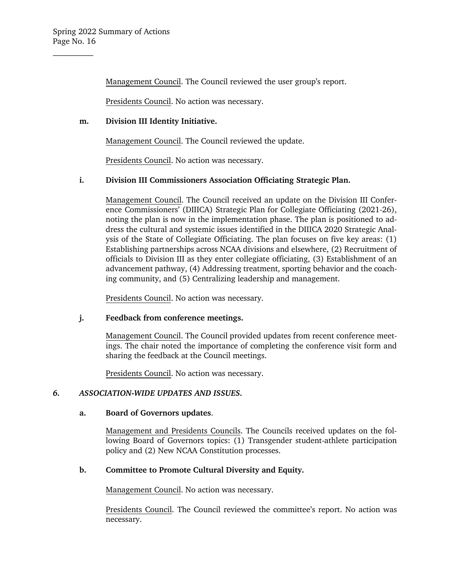Management Council. The Council reviewed the user group's report.

Presidents Council. No action was necessary.

# **m. Division III Identity Initiative.**

Management Council. The Council reviewed the update.

Presidents Council. No action was necessary.

# **i. Division III Commissioners Association Officiating Strategic Plan.**

Management Council. The Council received an update on the Division III Conference Commissioners' (DIIICA) Strategic Plan for Collegiate Officiating (2021-26), noting the plan is now in the implementation phase. The plan is positioned to address the cultural and systemic issues identified in the DIIICA 2020 Strategic Analysis of the State of Collegiate Officiating. The plan focuses on five key areas: (1) Establishing partnerships across NCAA divisions and elsewhere, (2) Recruitment of officials to Division III as they enter collegiate officiating, (3) Establishment of an advancement pathway, (4) Addressing treatment, sporting behavior and the coaching community, and (5) Centralizing leadership and management.

Presidents Council. No action was necessary.

# **j. Feedback from conference meetings.**

Management Council. The Council provided updates from recent conference meetings. The chair noted the importance of completing the conference visit form and sharing the feedback at the Council meetings.

Presidents Council. No action was necessary.

# *6. ASSOCIATION-WIDE UPDATES AND ISSUES.*

#### **a. Board of Governors updates**.

Management and Presidents Councils. The Councils received updates on the following Board of Governors topics: (1) Transgender student-athlete participation policy and (2) New NCAA Constitution processes.

# **b. Committee to Promote Cultural Diversity and Equity.**

Management Council. No action was necessary.

Presidents Council. The Council reviewed the committee's report. No action was necessary.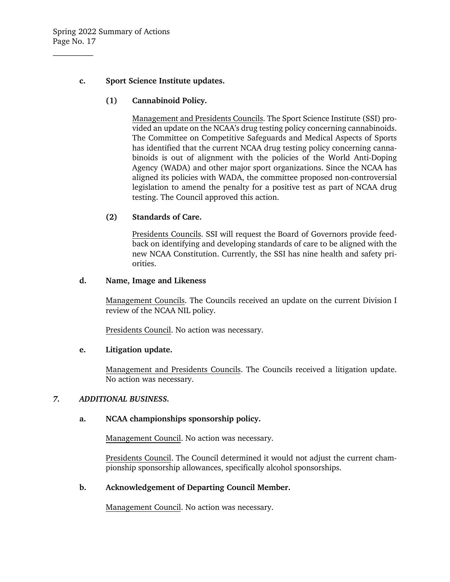# **c. Sport Science Institute updates.**

**(1) Cannabinoid Policy.** 

Management and Presidents Councils. The Sport Science Institute (SSI) provided an update on the NCAA's drug testing policy concerning cannabinoids. The Committee on Competitive Safeguards and Medical Aspects of Sports has identified that the current NCAA drug testing policy concerning cannabinoids is out of alignment with the policies of the World Anti-Doping Agency (WADA) and other major sport organizations. Since the NCAA has aligned its policies with WADA, the committee proposed non-controversial legislation to amend the penalty for a positive test as part of NCAA drug testing. The Council approved this action.

# **(2) Standards of Care.**

Presidents Councils. SSI will request the Board of Governors provide feedback on identifying and developing standards of care to be aligned with the new NCAA Constitution. Currently, the SSI has nine health and safety priorities.

#### **d. Name, Image and Likeness**

Management Councils. The Councils received an update on the current Division I review of the NCAA NIL policy.

Presidents Council. No action was necessary.

# **e. Litigation update.**

Management and Presidents Councils. The Councils received a litigation update. No action was necessary.

#### *7. ADDITIONAL BUSINESS.*

# **a. NCAA championships sponsorship policy.**

Management Council. No action was necessary.

Presidents Council. The Council determined it would not adjust the current championship sponsorship allowances, specifically alcohol sponsorships.

# **b. Acknowledgement of Departing Council Member.**

Management Council. No action was necessary.